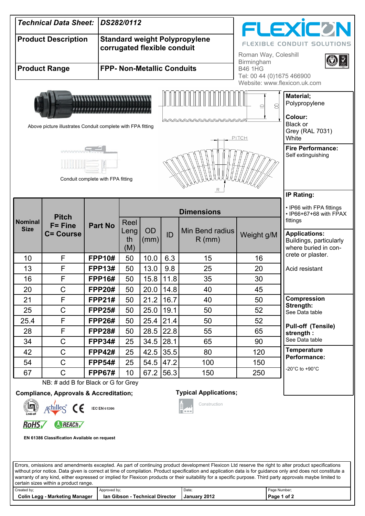| <b>Technical Data Sheet:</b><br>DS282/0112                                                                                                                      |                                                                                                                                                |                             |                           |                   |                                                           |                             | <b>FLEXICON</b>                                    |                                                                                                                                                                                                                                                                                                                                                                                                                                                                                     |
|-----------------------------------------------------------------------------------------------------------------------------------------------------------------|------------------------------------------------------------------------------------------------------------------------------------------------|-----------------------------|---------------------------|-------------------|-----------------------------------------------------------|-----------------------------|----------------------------------------------------|-------------------------------------------------------------------------------------------------------------------------------------------------------------------------------------------------------------------------------------------------------------------------------------------------------------------------------------------------------------------------------------------------------------------------------------------------------------------------------------|
| <b>Product Description</b>                                                                                                                                      |                                                                                                                                                | corrugated flexible conduit |                           |                   | <b>Standard weight Polypropylene</b>                      | Roman Way, Coleshill        | <b>FLEXIBLE CONDUIT SOLUTIONS</b>                  |                                                                                                                                                                                                                                                                                                                                                                                                                                                                                     |
| <b>FPP- Non-Metallic Conduits</b><br><b>Product Range</b>                                                                                                       |                                                                                                                                                |                             |                           |                   | Birmingham<br><b>B46 1HG</b><br>Tel: 00 44 (0)1675 466900 |                             |                                                    |                                                                                                                                                                                                                                                                                                                                                                                                                                                                                     |
| Above picture illustrates Conduit complete with FPA fitting                                                                                                     | Website: www.flexicon.uk.com<br>Material;<br>Polypropylene<br>8<br>Colour:<br>Black or<br>Grey (RAL 7031)<br>White<br><b>Fire Performance:</b> |                             |                           |                   |                                                           |                             |                                                    |                                                                                                                                                                                                                                                                                                                                                                                                                                                                                     |
| Self extinguishing<br>Conduit complete with FPA fitting<br><b>IP Rating:</b>                                                                                    |                                                                                                                                                |                             |                           |                   |                                                           |                             |                                                    |                                                                                                                                                                                                                                                                                                                                                                                                                                                                                     |
|                                                                                                                                                                 | <b>Pitch</b>                                                                                                                                   |                             | <b>Dimensions</b>         |                   |                                                           |                             | • IP66 with FPA fittings<br>• IP66+67+68 with FPAX |                                                                                                                                                                                                                                                                                                                                                                                                                                                                                     |
| <b>Nominal</b><br><b>Size</b>                                                                                                                                   | $F =$ Fine<br><b>C= Course</b>                                                                                                                 | <b>Part No</b>              | Reel<br>Leng<br>th<br>(M) | <b>OD</b><br>(mm) | ID                                                        | Min Bend radius<br>$R$ (mm) | Weight g/M                                         | fittings<br><b>Applications:</b><br>Buildings, particularly<br>where buried in con-                                                                                                                                                                                                                                                                                                                                                                                                 |
| 10                                                                                                                                                              | F                                                                                                                                              | <b>FPP10#</b>               | 50                        | 10.0              | 6.3                                                       | 15                          | 16                                                 | crete or plaster.                                                                                                                                                                                                                                                                                                                                                                                                                                                                   |
| 13                                                                                                                                                              | F                                                                                                                                              | <b>FPP13#</b>               | 50                        | 13.0              | 9.8                                                       | 25                          | 20                                                 | Acid resistant                                                                                                                                                                                                                                                                                                                                                                                                                                                                      |
| 16                                                                                                                                                              | F                                                                                                                                              | <b>FPP16#</b>               | 50                        | 15.8              | 11.8                                                      | 35                          | 30                                                 |                                                                                                                                                                                                                                                                                                                                                                                                                                                                                     |
| 20                                                                                                                                                              | C                                                                                                                                              | <b>FPP20#</b>               | 50                        | $20.0$   14.8     |                                                           | 40                          | 45                                                 |                                                                                                                                                                                                                                                                                                                                                                                                                                                                                     |
| 21                                                                                                                                                              | F                                                                                                                                              | <b>FPP21#</b>               | 50                        | 21.2              | 16.7                                                      | 40                          | 50                                                 | <b>Compression</b>                                                                                                                                                                                                                                                                                                                                                                                                                                                                  |
| 25                                                                                                                                                              | C                                                                                                                                              | <b>FPP25#</b>               | 50                        | 25.0              | 19.1                                                      | 50                          | 52                                                 | Strength:<br>See Data table                                                                                                                                                                                                                                                                                                                                                                                                                                                         |
| 25.4                                                                                                                                                            | F                                                                                                                                              | <b>FPP26#</b>               | 50                        | 25.4              | 21.4                                                      | 50                          | 52                                                 |                                                                                                                                                                                                                                                                                                                                                                                                                                                                                     |
| 28                                                                                                                                                              | F                                                                                                                                              | <b>FPP28#</b>               | 50                        | 28.5              | 22.8                                                      | 55                          | 65                                                 | <b>Pull-off (Tensile)</b><br>strength:                                                                                                                                                                                                                                                                                                                                                                                                                                              |
| 34                                                                                                                                                              | C                                                                                                                                              | <b>FPP34#</b>               | 25                        | 34.5              | 28.1                                                      | 65                          | 90                                                 | See Data table                                                                                                                                                                                                                                                                                                                                                                                                                                                                      |
| 42                                                                                                                                                              | C                                                                                                                                              | <b>FPP42#</b>               | 25                        | 42.5              | 35.5                                                      | 80                          | 120                                                | <b>Temperature</b><br>Performance:                                                                                                                                                                                                                                                                                                                                                                                                                                                  |
| 54                                                                                                                                                              | C                                                                                                                                              | <b>FPP54#</b>               | 25                        | 54.5              | 47.2                                                      | 100                         | 150                                                | -20 $^{\circ}$ C to +90 $^{\circ}$ C                                                                                                                                                                                                                                                                                                                                                                                                                                                |
| 67                                                                                                                                                              | C                                                                                                                                              | <b>FPP67#</b>               | 10                        | 67.2              | 56.3                                                      | 150                         | 250                                                |                                                                                                                                                                                                                                                                                                                                                                                                                                                                                     |
|                                                                                                                                                                 | NB: # add B for Black or G for Grey                                                                                                            |                             |                           |                   |                                                           |                             |                                                    |                                                                                                                                                                                                                                                                                                                                                                                                                                                                                     |
| <b>Typical Applications;</b><br><b>Compliance, Approvals &amp; Accreditation;</b><br>Construction<br>5<br>schillec <sup>®</sup><br><b>IEC EN 61386</b>          |                                                                                                                                                |                             |                           |                   |                                                           |                             |                                                    |                                                                                                                                                                                                                                                                                                                                                                                                                                                                                     |
| <b>RoHS</b><br>REACh                                                                                                                                            |                                                                                                                                                |                             |                           |                   |                                                           |                             |                                                    |                                                                                                                                                                                                                                                                                                                                                                                                                                                                                     |
| EN 61386 Classification Available on request                                                                                                                    |                                                                                                                                                |                             |                           |                   |                                                           |                             |                                                    |                                                                                                                                                                                                                                                                                                                                                                                                                                                                                     |
|                                                                                                                                                                 | certain sizes within a product range.                                                                                                          |                             |                           |                   |                                                           |                             |                                                    | Errors, omissions and amendments excepted. As part of continuing product development Flexicon Ltd reserve the right to alter product specifications<br>without prior notice. Data given is correct at time of compilation. Product specification and application data is for guidance only and does not constitute a<br>warranty of any kind, either expressed or implied for Flexicon products or their suitability for a specific purpose. Third party approvals maybe limited to |
| Created by:<br>Page Number;<br>Approved by;<br>Date;<br><b>Colin Legg - Marketing Manager</b><br>Page 1 of 2<br>Ian Gibson - Technical Director<br>January 2012 |                                                                                                                                                |                             |                           |                   |                                                           |                             |                                                    |                                                                                                                                                                                                                                                                                                                                                                                                                                                                                     |